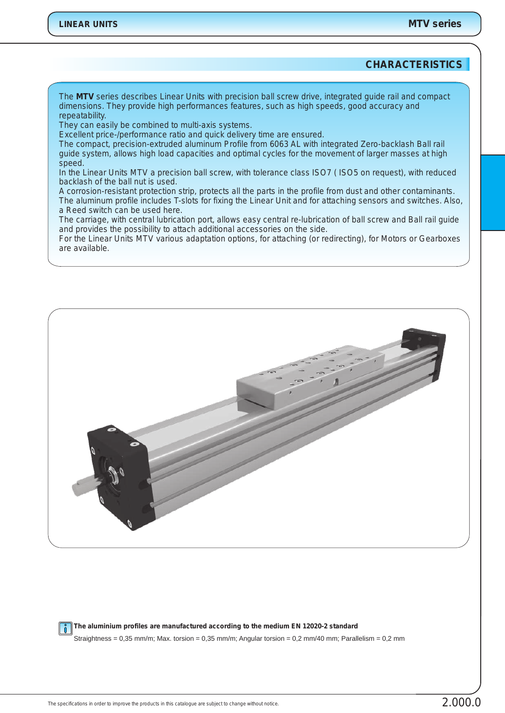## **CHARACTERISTICS**

*The MTV series describes Linear Units with precision ball screw drive, integrated guide rail and compact dimensions. They provide high performances features, such as high speeds, good accuracy and repeatability.*

*They can easily be combined to multi-axis systems.*

*Excellent price-/performance ratio and quick delivery time are ensured.*

*The compact, precision-extruded aluminum Profile from 6063 AL with integrated Zero-backlash Ball rail guide system, allows high load capacities and optimal cycles for the movement of larger masses at high speed.*

*In the Linear Units MTV a precision ball screw, with tolerance class ISO7 ( ISO5 on request), with reduced backlash of the ball nut is used.*

*A corrosion-resistant protection strip, protects all the parts in the profile from dust and other contaminants. The aluminum profile includes T-slots for fixing the Linear Unit and for attaching sensors and switches. Also, a Reed switch can be used here.*

*The carriage, with central lubrication port, allows easy central re-lubrication of ball screw and Ball rail guide and provides the possibility to attach additional accessories on the side.*

*For the Linear Units MTV various adaptation options, for attaching (or redirecting), for Motors or Gearboxes are available.*



**The aluminium profiles are manufactured according to the medium EN 12020-2 standard**  $\vert \cdot \vert$ 

Straightness = 0,35 mm/m; Max. torsion = 0,35 mm/m; Angular torsion = 0,2 mm/40 mm; Parallelism = 0,2 mm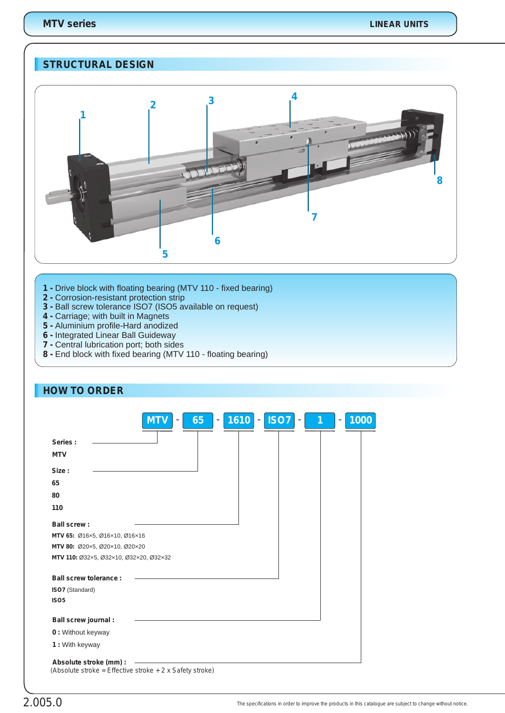# **STRUCTURAL DESIGN**



- **1**  Drive block with floating bearing (MTV 110 fixed bearing)
- **2 -** Corrosion-resistant protection strip
- **3** Ball screw tolerance ISO7 (ISO5 available on request)
- **4** Carriage; with built in Magnets
- **5** Aluminium profile-Hard anodized
- **6** Integrated Linear Ball Guideway
- **7**  Central lubrication port; both sides
- **8** End block with fixed bearing (MTV 110 floating bearing)

| <b>HOW TO ORDER</b>                                                                |            |    |                                       |             |        |      |
|------------------------------------------------------------------------------------|------------|----|---------------------------------------|-------------|--------|------|
|                                                                                    | <b>MTV</b> | 65 | 1610<br>$\overline{\phantom{a}}$<br>- | <b>ISO7</b> | 1<br>۰ | 1000 |
| Series:                                                                            |            |    |                                       |             |        |      |
| <b>MTV</b>                                                                         |            |    |                                       |             |        |      |
| Size:                                                                              |            |    |                                       |             |        |      |
| 65                                                                                 |            |    |                                       |             |        |      |
| 80                                                                                 |            |    |                                       |             |        |      |
| 110                                                                                |            |    |                                       |             |        |      |
|                                                                                    |            |    |                                       |             |        |      |
| Ball screw:                                                                        |            |    |                                       |             |        |      |
| MTV 65: Ø16×5, Ø16×10, Ø16×16                                                      |            |    |                                       |             |        |      |
| MTV 80: Ø20×5, Ø20×10, Ø20×20                                                      |            |    |                                       |             |        |      |
| MTV 110: Ø32x5, Ø32x10, Ø32x20, Ø32x32                                             |            |    |                                       |             |        |      |
| Ball screw tolerance:                                                              |            |    |                                       |             |        |      |
| ISO7 (Standard)                                                                    |            |    |                                       |             |        |      |
| ISO <sub>5</sub>                                                                   |            |    |                                       |             |        |      |
| Ball screw journal :                                                               |            |    |                                       |             |        |      |
| 0 : Without keyway                                                                 |            |    |                                       |             |        |      |
| 1 : With keyway                                                                    |            |    |                                       |             |        |      |
| Absolute stroke (mm) :<br>(Absolute stroke = Effective stroke + 2 x Safety stroke) |            |    |                                       |             |        |      |

## 2.005.0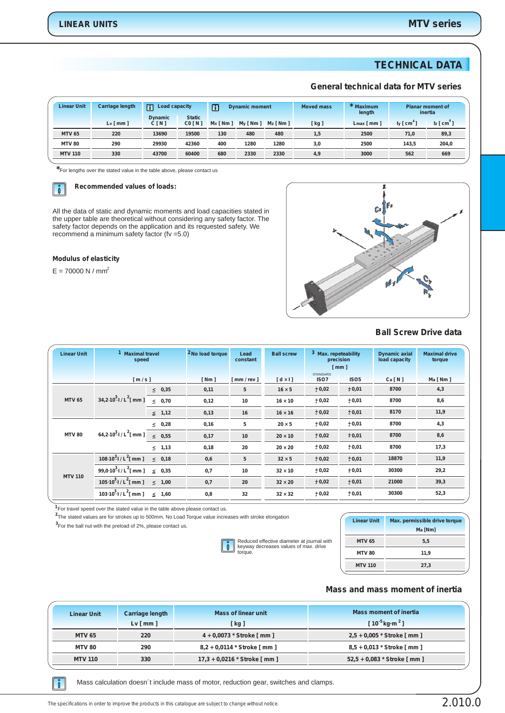## **TECHNICAL DATA**

#### **General technical data for MTV series**

| <b>Linear Unit</b> | <b>Carriage length</b> | m<br>Load capacity<br><b>Dynamic</b> | <b>Static</b> | $\sqrt{a}$<br><b>Dynamic moment</b> |             | <b>Moved mass</b> | * Maximum<br>length | <b>Planar moment of</b><br>inertia |            |               |
|--------------------|------------------------|--------------------------------------|---------------|-------------------------------------|-------------|-------------------|---------------------|------------------------------------|------------|---------------|
|                    | Lv[mm]                 | C[N]                                 | CO [N]        | $Mx \sim 1$                         | $My$ [ Nm ] | $Mz$ [ Nm ]       | [ kg ]              | $Lmax$ [ mm ]                      | $ly [cm*]$ | $z$ [ $cm3$ ] |
| <b>MTV 65</b>      | 220                    | 13690                                | 19500         | 130                                 | 480         | 480               | 1,5                 | 2500                               | 71.0       | 89,3          |
| <b>MTV 80</b>      | 290                    | 29930                                | 42360         | 400                                 | 1280        | 1280              | 3,0                 | 2500                               | 143.5      | 204,0         |
| <b>MTV 110</b>     | 330                    | 43700                                | 60400         | 680                                 | 2330        | 2330              | 4,9                 | 3000                               | 562        | 669           |

**\***For lengths over the stated value in the table above, please contact us

#### **Recommended values of loads:**   $\parallel$   $\hat{0}$

All the data of static and dynamic moments and load capacities stated in the upper table are theoretical without considering any safety factor. The safety factor depends on the application and its requested safety. We recommend a minimum safety factor (fv =5.0)

#### **Modulus of elasticity**

 $E = 70000 N / mm<sup>2</sup>$ 



#### **Ball Screw Drive data**

| <b>Linear Unit</b>                               | <b>Maximal travel</b><br>speed                |                 | <sup>2</sup> No load torque | Lead<br>constant | <b>Ball screw</b>  | <sup>3</sup> Max. repeteability<br>precision<br>$\lceil$ mm $\rceil$ |                  | <b>Dynamic axial</b><br>load capacity | <b>Maximal drive</b><br>torque |
|--------------------------------------------------|-----------------------------------------------|-----------------|-----------------------------|------------------|--------------------|----------------------------------------------------------------------|------------------|---------------------------------------|--------------------------------|
|                                                  | $\lceil m/s \rceil$                           |                 | $Nm$ ]                      | [mm / rev ]      | $\lceil dx \rceil$ | <b>STANDARD</b><br>ISO7                                              | ISO <sub>5</sub> | Ca[N]                                 | Ma [ Nm ]                      |
|                                                  |                                               | $\leq 0.35$     | 0,11                        | 5                | $16 \times 5$      | ± 0,02                                                               | ± 0,01           | 8700                                  | 4,3                            |
| <b>MTV 65</b>                                    | 34,2.10 <sup>3</sup> $1/L2$ [ mm ]            | & 0.70          | 0,12                        | 10               | $16 \times 10$     | ± 0,02                                                               | ± 0,01           | 8700                                  | 8,6                            |
|                                                  |                                               | $\leq$ 1,12     | 0,13                        | 16               | $16 \times 16$     | ± 0.02                                                               | ± 0,01           | 8170                                  | 11,9                           |
|                                                  |                                               | $\leq 0.28$     | 0,16                        | 5                | $20 \times 5$      | ± 0,02                                                               | ± 0,01           | 8700                                  | 4,3                            |
| 64,2·10 <sup>3</sup> $1/L2[mm]$<br><b>MTV 80</b> | $\leq 0.55$                                   | 0,17            | 10                          | $20 \times 10$   | ± 0,02             | ± 0,01                                                               | 8700             | 8,6                                   |                                |
|                                                  |                                               | $\leq$ 1,13     | 0,18                        | 20               | $20 \times 20$     | ± 0,02                                                               | ± 0,01           | 8700                                  | 17,3                           |
|                                                  | 108.10 <sup>3</sup> $1/L^2$ [ mm ]            | $\leq 0.18$     | 0,6                         | 5                | $32 \times 5$      | ± 0,02                                                               | ± 0,01           | 18870                                 | 11,9                           |
|                                                  | 99,0·10 <sup>3</sup> $1/L2$ [ mm ]            | 0,35<br>$\prec$ | 0,7                         | 10               | $32 \times 10$     | ± 0,02                                                               | ± 0,01           | 30300                                 | 29,2                           |
| <b>MTV 110</b>                                   | 105.10 <sup>3</sup> $1/L^2$ [ mm ]            | 1,00<br>$\prec$ | 0,7                         | 20               | $32 \times 20$     | ± 0,02                                                               | ± 0,01           | 21000                                 | 39,3                           |
|                                                  | 103 10 <sup>3</sup> I / L <sup>2</sup> [ mm ] | 1,60<br>$\leq$  | 0,8                         | 32               | $32 \times 32$     | ± 0,02                                                               | ± 0,01           | 30300                                 | 52,3                           |

<sup>1</sup> For travel speed over the stated value in the table above please contact us.

**2** The stated values are for strokes up to 500mm. No Load Torque value increases with stroke elongation

For the ball nut with the preload of 2%, please contact us. **<sup>3</sup>**

 $\mathsf{L}$ torque.

| s with stroke elongation                                                            | <b>Linear Unit</b> | Max. permissible drive torque |  |
|-------------------------------------------------------------------------------------|--------------------|-------------------------------|--|
|                                                                                     |                    | Ma [Nm]                       |  |
| Reduced effective diameter at journal with<br>keyway decreases values of max. drive | <b>MTV 65</b>      | 5.5                           |  |
| toraue.                                                                             | <b>MTV 80</b>      | 11.9                          |  |
|                                                                                     | <b>MTV 110</b>     | 27.3                          |  |
|                                                                                     |                    |                               |  |

### **Mass and mass moment of inertia**

| <b>Linear Unit</b> | <b>Carriage length</b><br>$Lv \mid mm \mid$ | <b>Mass of linear unit</b><br>kg <sub>1</sub> | Mass moment of inertia<br>[ $10^{-5}$ kg·m <sup>2</sup> ] |
|--------------------|---------------------------------------------|-----------------------------------------------|-----------------------------------------------------------|
| <b>MTV 65</b>      | 220                                         | 4 + 0,0073 * Stroke [ mm ]                    | $2,5 + 0,005 *$ Stroke [ mm ]                             |
| <b>MTV 80</b>      | 290                                         | 8,2 + 0,0114 * Stroke [ mm ]                  | 8,5 + 0,013 * Stroke [ mm ]                               |
| <b>MTV 110</b>     | 330                                         | 17,3 + 0,0216 * Stroke [ mm ]                 | 52,5 + 0,083 * Stroke [ mm ]                              |

 $\begin{bmatrix} 0 \\ 0 \end{bmatrix}$ 

Mass calculation doesn´t include mass of motor, reduction gear, switches and clamps.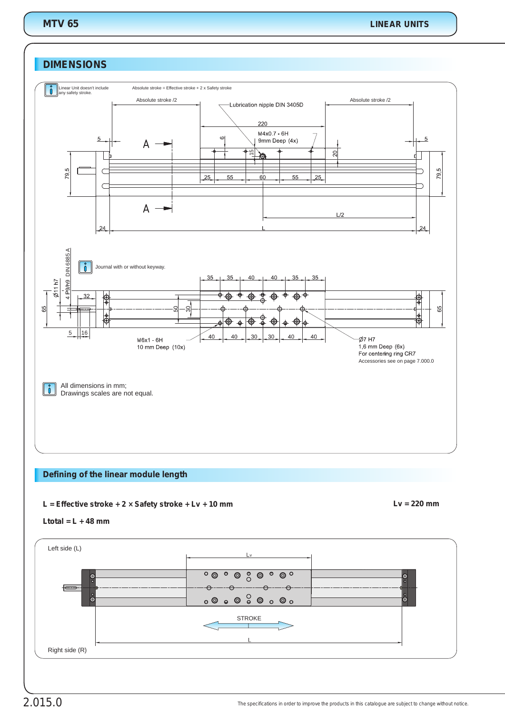## **DIMENSIONS**



## **Defining of the linear module length**

#### *L = + Lv + 10 mm* **Effective stroke + 2 × Safety stroke** *Lv = 220 mm*



#### *Ltotal = L + 48 mm*